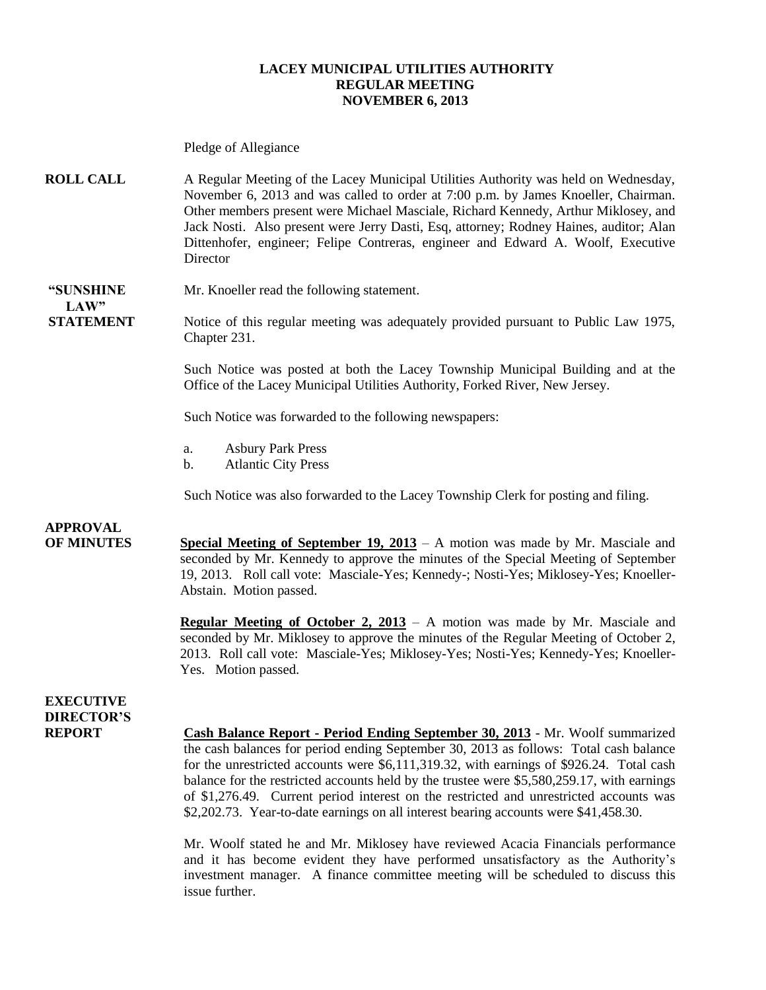#### **LACEY MUNICIPAL UTILITIES AUTHORITY REGULAR MEETING NOVEMBER 6, 2013**

Pledge of Allegiance

**ROLL CALL** A Regular Meeting of the Lacey Municipal Utilities Authority was held on Wednesday, November 6, 2013 and was called to order at 7:00 p.m. by James Knoeller, Chairman. Other members present were Michael Masciale, Richard Kennedy, Arthur Miklosey, and Jack Nosti.Also present were Jerry Dasti, Esq, attorney; Rodney Haines, auditor; Alan Dittenhofer, engineer; Felipe Contreras, engineer and Edward A. Woolf, Executive **Director** 

#### **"SUNSHINE** Mr. Knoeller read the following statement. **LAW"**

**STATEMENT** Notice of this regular meeting was adequately provided pursuant to Public Law 1975, Chapter 231.

> Such Notice was posted at both the Lacey Township Municipal Building and at the Office of the Lacey Municipal Utilities Authority, Forked River, New Jersey.

Such Notice was forwarded to the following newspapers:

- a. Asbury Park Press
- b. Atlantic City Press

Such Notice was also forwarded to the Lacey Township Clerk for posting and filing.

### **APPROVAL**

**OF MINUTES Special Meeting of September 19, 2013** – A motion was made by Mr. Masciale and seconded by Mr. Kennedy to approve the minutes of the Special Meeting of September 19, 2013. Roll call vote: Masciale-Yes; Kennedy-; Nosti-Yes; Miklosey-Yes; Knoeller-Abstain. Motion passed.

> **Regular Meeting of October 2, 2013** – A motion was made by Mr. Masciale and seconded by Mr. Miklosey to approve the minutes of the Regular Meeting of October 2, 2013. Roll call vote: Masciale-Yes; Miklosey-Yes; Nosti-Yes; Kennedy-Yes; Knoeller-Yes. Motion passed.

### **EXECUTIVE DIRECTOR'S**

**REPORT Cash Balance Report - Period Ending September 30, 2013** - Mr. Woolf summarized the cash balances for period ending September 30, 2013 as follows: Total cash balance for the unrestricted accounts were \$6,111,319.32, with earnings of \$926.24. Total cash balance for the restricted accounts held by the trustee were \$5,580,259.17, with earnings of \$1,276.49. Current period interest on the restricted and unrestricted accounts was \$2,202.73. Year-to-date earnings on all interest bearing accounts were \$41,458.30.

> Mr. Woolf stated he and Mr. Miklosey have reviewed Acacia Financials performance and it has become evident they have performed unsatisfactory as the Authority's investment manager. A finance committee meeting will be scheduled to discuss this issue further.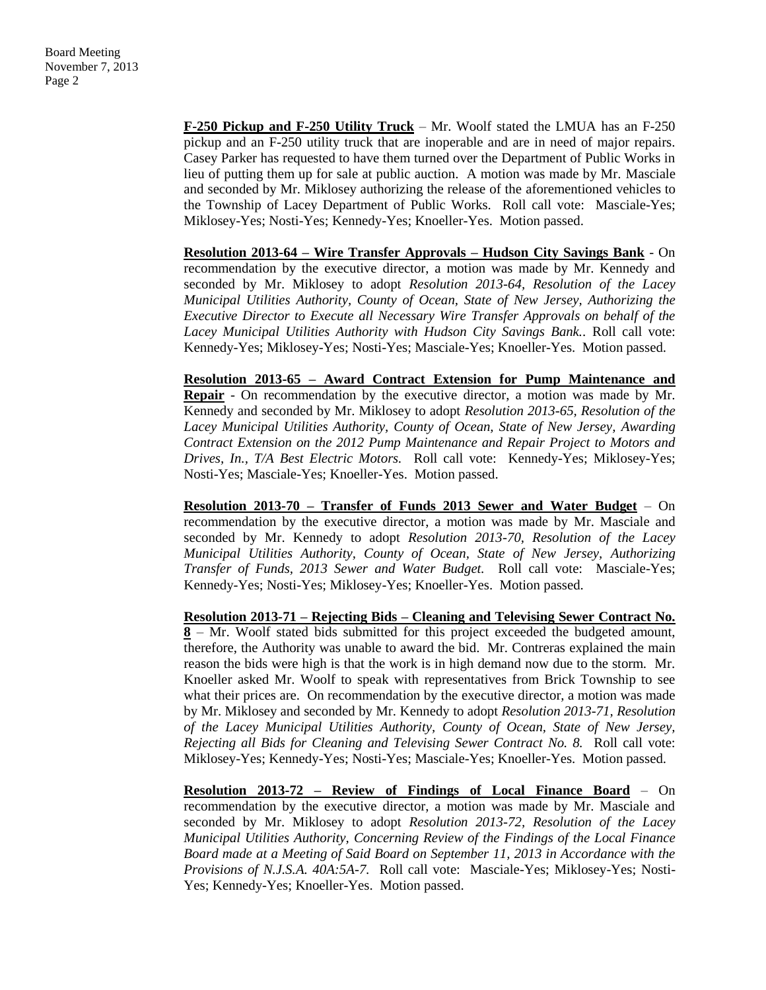**F-250 Pickup and F-250 Utility Truck** – Mr. Woolf stated the LMUA has an F-250 pickup and an F-250 utility truck that are inoperable and are in need of major repairs. Casey Parker has requested to have them turned over the Department of Public Works in lieu of putting them up for sale at public auction. A motion was made by Mr. Masciale and seconded by Mr. Miklosey authorizing the release of the aforementioned vehicles to the Township of Lacey Department of Public Works. Roll call vote: Masciale-Yes; Miklosey-Yes; Nosti-Yes; Kennedy-Yes; Knoeller-Yes. Motion passed.

**Resolution 2013-64 – Wire Transfer Approvals – Hudson City Savings Bank** - On recommendation by the executive director, a motion was made by Mr. Kennedy and seconded by Mr. Miklosey to adopt *Resolution 2013-64, Resolution of the Lacey Municipal Utilities Authority, County of Ocean, State of New Jersey, Authorizing the Executive Director to Execute all Necessary Wire Transfer Approvals on behalf of the Lacey Municipal Utilities Authority with Hudson City Savings Bank..* Roll call vote: Kennedy-Yes; Miklosey-Yes; Nosti-Yes; Masciale-Yes; Knoeller-Yes. Motion passed.

**Resolution 2013-65 – Award Contract Extension for Pump Maintenance and Repair** - On recommendation by the executive director, a motion was made by Mr. Kennedy and seconded by Mr. Miklosey to adopt *Resolution 2013-65, Resolution of the Lacey Municipal Utilities Authority, County of Ocean, State of New Jersey, Awarding Contract Extension on the 2012 Pump Maintenance and Repair Project to Motors and Drives, In., T/A Best Electric Motors.* Roll call vote: Kennedy-Yes; Miklosey-Yes; Nosti-Yes; Masciale-Yes; Knoeller-Yes. Motion passed.

**Resolution 2013-70 – Transfer of Funds 2013 Sewer and Water Budget** – On recommendation by the executive director, a motion was made by Mr. Masciale and seconded by Mr. Kennedy to adopt *Resolution 2013-70, Resolution of the Lacey Municipal Utilities Authority, County of Ocean, State of New Jersey, Authorizing Transfer of Funds, 2013 Sewer and Water Budget.* Roll call vote: Masciale-Yes; Kennedy-Yes; Nosti-Yes; Miklosey-Yes; Knoeller-Yes. Motion passed.

**Resolution 2013-71 – Rejecting Bids – Cleaning and Televising Sewer Contract No. 8** – Mr. Woolf stated bids submitted for this project exceeded the budgeted amount, therefore, the Authority was unable to award the bid. Mr. Contreras explained the main reason the bids were high is that the work is in high demand now due to the storm. Mr. Knoeller asked Mr. Woolf to speak with representatives from Brick Township to see what their prices are. On recommendation by the executive director, a motion was made by Mr. Miklosey and seconded by Mr. Kennedy to adopt *Resolution 2013-71, Resolution of the Lacey Municipal Utilities Authority, County of Ocean, State of New Jersey, Rejecting all Bids for Cleaning and Televising Sewer Contract No. 8.* Roll call vote: Miklosey-Yes; Kennedy-Yes; Nosti-Yes; Masciale-Yes; Knoeller-Yes. Motion passed.

**Resolution 2013-72 – Review of Findings of Local Finance Board** – On recommendation by the executive director, a motion was made by Mr. Masciale and seconded by Mr. Miklosey to adopt *Resolution 2013-72, Resolution of the Lacey Municipal Utilities Authority, Concerning Review of the Findings of the Local Finance Board made at a Meeting of Said Board on September 11, 2013 in Accordance with the Provisions of N.J.S.A. 40A:5A-7.* Roll call vote: Masciale-Yes; Miklosey-Yes; Nosti-Yes; Kennedy-Yes; Knoeller-Yes. Motion passed.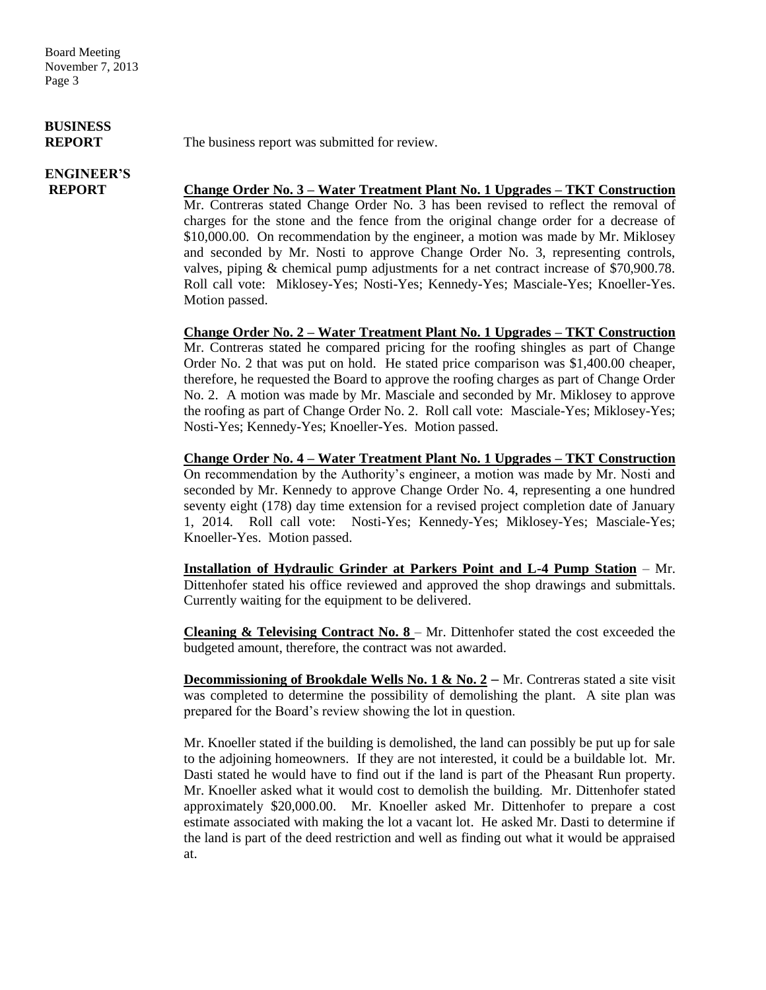Board Meeting November 7, 2013 Page 3

# **BUSINESS**

# **ENGINEER'S**

**REPORT** The business report was submitted for review.

**REPORT Change Order No. 3 – Water Treatment Plant No. 1 Upgrades – TKT Construction** Mr. Contreras stated Change Order No. 3 has been revised to reflect the removal of charges for the stone and the fence from the original change order for a decrease of \$10,000.00. On recommendation by the engineer, a motion was made by Mr. Miklosey and seconded by Mr. Nosti to approve Change Order No. 3, representing controls, valves, piping & chemical pump adjustments for a net contract increase of \$70,900.78. Roll call vote: Miklosey-Yes; Nosti-Yes; Kennedy-Yes; Masciale-Yes; Knoeller-Yes. Motion passed.

> **Change Order No. 2 – Water Treatment Plant No. 1 Upgrades – TKT Construction** Mr. Contreras stated he compared pricing for the roofing shingles as part of Change Order No. 2 that was put on hold. He stated price comparison was \$1,400.00 cheaper, therefore, he requested the Board to approve the roofing charges as part of Change Order No. 2. A motion was made by Mr. Masciale and seconded by Mr. Miklosey to approve the roofing as part of Change Order No. 2. Roll call vote: Masciale-Yes; Miklosey-Yes; Nosti-Yes; Kennedy-Yes; Knoeller-Yes. Motion passed.

> **Change Order No. 4 – Water Treatment Plant No. 1 Upgrades – TKT Construction** On recommendation by the Authority's engineer, a motion was made by Mr. Nosti and seconded by Mr. Kennedy to approve Change Order No. 4, representing a one hundred seventy eight (178) day time extension for a revised project completion date of January 1, 2014. Roll call vote: Nosti-Yes; Kennedy-Yes; Miklosey-Yes; Masciale-Yes; Knoeller-Yes. Motion passed.

> **Installation of Hydraulic Grinder at Parkers Point and L-4 Pump Station** – Mr. Dittenhofer stated his office reviewed and approved the shop drawings and submittals. Currently waiting for the equipment to be delivered.

> **Cleaning & Televising Contract No. 8** – Mr. Dittenhofer stated the cost exceeded the budgeted amount, therefore, the contract was not awarded.

> **Decommissioning of Brookdale Wells No. 1 & No. 2 – Mr. Contreras stated a site visit** was completed to determine the possibility of demolishing the plant. A site plan was prepared for the Board's review showing the lot in question.

> Mr. Knoeller stated if the building is demolished, the land can possibly be put up for sale to the adjoining homeowners. If they are not interested, it could be a buildable lot. Mr. Dasti stated he would have to find out if the land is part of the Pheasant Run property. Mr. Knoeller asked what it would cost to demolish the building. Mr. Dittenhofer stated approximately \$20,000.00. Mr. Knoeller asked Mr. Dittenhofer to prepare a cost estimate associated with making the lot a vacant lot. He asked Mr. Dasti to determine if the land is part of the deed restriction and well as finding out what it would be appraised at.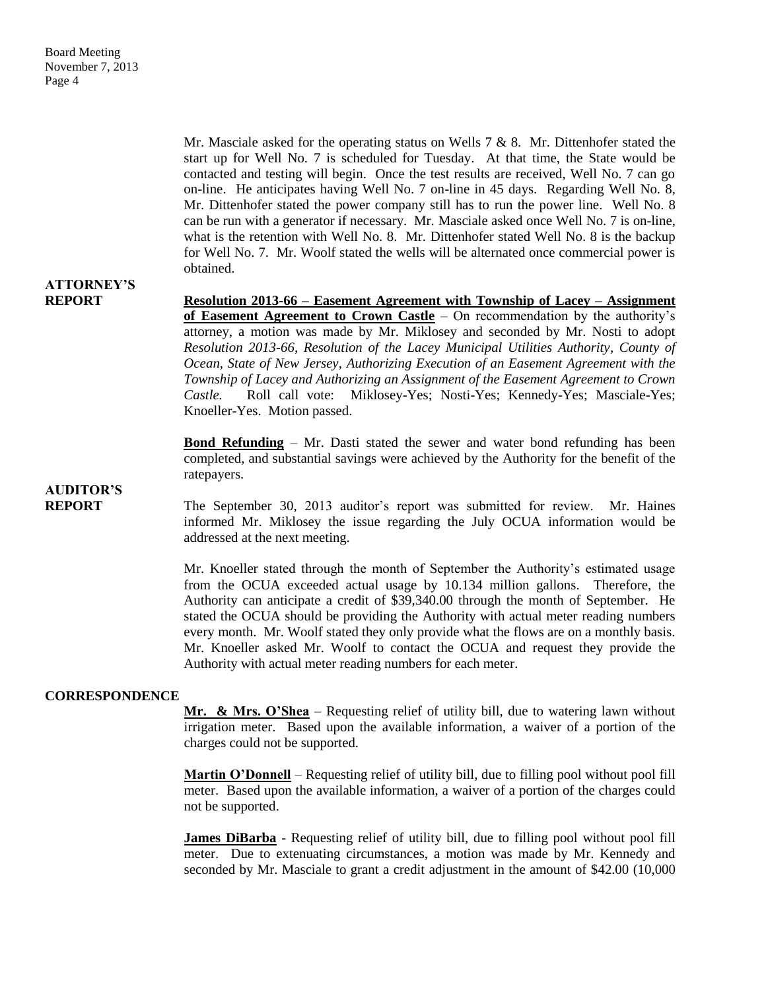Mr. Masciale asked for the operating status on Wells 7 & 8. Mr. Dittenhofer stated the start up for Well No. 7 is scheduled for Tuesday. At that time, the State would be contacted and testing will begin. Once the test results are received, Well No. 7 can go on-line. He anticipates having Well No. 7 on-line in 45 days. Regarding Well No. 8, Mr. Dittenhofer stated the power company still has to run the power line. Well No. 8 can be run with a generator if necessary. Mr. Masciale asked once Well No. 7 is on-line, what is the retention with Well No. 8. Mr. Dittenhofer stated Well No. 8 is the backup for Well No. 7. Mr. Woolf stated the wells will be alternated once commercial power is obtained.

## **ATTORNEY'S**

**AUDITOR'S**

**REPORT Resolution 2013-66 – Easement Agreement with Township of Lacey – Assignment of Easement Agreement to Crown Castle** – On recommendation by the authority's attorney, a motion was made by Mr. Miklosey and seconded by Mr. Nosti to adopt *Resolution 2013-66, Resolution of the Lacey Municipal Utilities Authority, County of Ocean, State of New Jersey, Authorizing Execution of an Easement Agreement with the Township of Lacey and Authorizing an Assignment of the Easement Agreement to Crown Castle.* Roll call vote: Miklosey-Yes; Nosti-Yes; Kennedy-Yes; Masciale-Yes; Knoeller-Yes. Motion passed.

> **Bond Refunding** – Mr. Dasti stated the sewer and water bond refunding has been completed, and substantial savings were achieved by the Authority for the benefit of the ratepayers.

**REPORT** The September 30, 2013 auditor's report was submitted for review. Mr. Haines informed Mr. Miklosey the issue regarding the July OCUA information would be addressed at the next meeting.

> Mr. Knoeller stated through the month of September the Authority's estimated usage from the OCUA exceeded actual usage by 10.134 million gallons. Therefore, the Authority can anticipate a credit of \$39,340.00 through the month of September. He stated the OCUA should be providing the Authority with actual meter reading numbers every month. Mr. Woolf stated they only provide what the flows are on a monthly basis. Mr. Knoeller asked Mr. Woolf to contact the OCUA and request they provide the Authority with actual meter reading numbers for each meter.

#### **CORRESPONDENCE**

**Mr. & Mrs. O'Shea** – Requesting relief of utility bill, due to watering lawn without irrigation meter. Based upon the available information, a waiver of a portion of the charges could not be supported.

**Martin O'Donnell** – Requesting relief of utility bill, due to filling pool without pool fill meter. Based upon the available information, a waiver of a portion of the charges could not be supported.

**James DiBarba** - Requesting relief of utility bill, due to filling pool without pool fill meter. Due to extenuating circumstances, a motion was made by Mr. Kennedy and seconded by Mr. Masciale to grant a credit adjustment in the amount of \$42.00 (10,000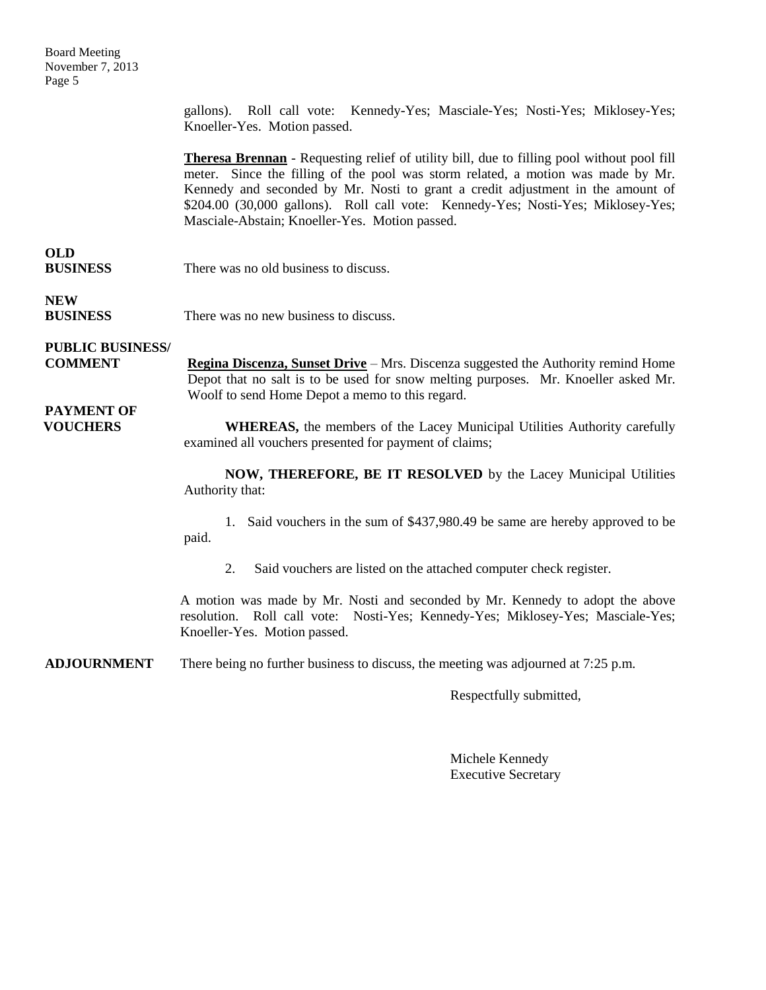Board Meeting November 7, 2013 Page 5

> gallons). Roll call vote: Kennedy-Yes; Masciale-Yes; Nosti-Yes; Miklosey-Yes; Knoeller-Yes. Motion passed.

> **Theresa Brennan** - Requesting relief of utility bill, due to filling pool without pool fill meter. Since the filling of the pool was storm related, a motion was made by Mr. Kennedy and seconded by Mr. Nosti to grant a credit adjustment in the amount of \$204.00 (30,000 gallons). Roll call vote: Kennedy-Yes; Nosti-Yes; Miklosey-Yes; Masciale-Abstain; Knoeller-Yes. Motion passed.

### **OLD**

| <b>BUSINESS</b> | There was no old business to discuss. |
|-----------------|---------------------------------------|
|                 |                                       |

**NEW** 

**BUSINESS** There was no new business to discuss.

### **PUBLIC BUSINESS/**

**PAYMENT OF**

**COMMENT Regina Discenza, Sunset Drive** – Mrs. Discenza suggested the Authority remind Home Depot that no salt is to be used for snow melting purposes. Mr. Knoeller asked Mr. Woolf to send Home Depot a memo to this regard.

#### **VOUCHERS** WHEREAS, the members of the Lacey Municipal Utilities Authority carefully examined all vouchers presented for payment of claims;

**NOW, THEREFORE, BE IT RESOLVED** by the Lacey Municipal Utilities Authority that:

1. Said vouchers in the sum of \$437,980.49 be same are hereby approved to be paid.

2. Said vouchers are listed on the attached computer check register.

A motion was made by Mr. Nosti and seconded by Mr. Kennedy to adopt the above resolution. Roll call vote: Nosti-Yes; Kennedy-Yes; Miklosey-Yes; Masciale-Yes; Knoeller-Yes. Motion passed.

**ADJOURNMENT** There being no further business to discuss, the meeting was adjourned at 7:25 p.m.

Respectfully submitted,

Michele Kennedy Executive Secretary